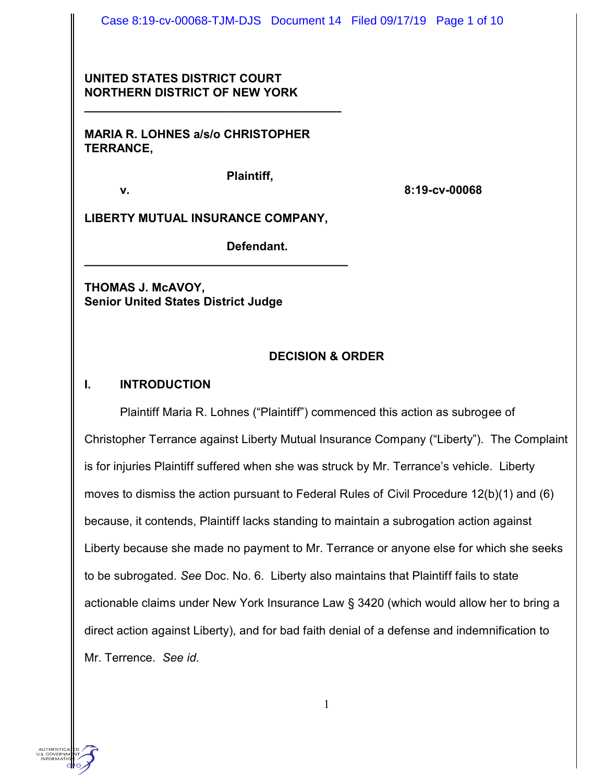Case 8:19-cv-00068-TJM-DJS Document 14 Filed 09/17/19 Page 1 of 10

#### **UNITED STATES DISTRICT COURT NORTHERN DISTRICT OF NEW YORK**

**MARIA R. LOHNES a/s/o CHRISTOPHER TERRANCE,**

**\_\_\_\_\_\_\_\_\_\_\_\_\_\_\_\_\_\_\_\_\_\_\_\_\_\_\_\_\_\_\_\_\_\_\_\_\_\_\_**

**Plaintiff,**

**v. 8:19-cv-00068**

**LIBERTY MUTUAL INSURANCE COMPANY,**

**\_\_\_\_\_\_\_\_\_\_\_\_\_\_\_\_\_\_\_\_\_\_\_\_\_\_\_\_\_\_\_\_\_\_\_\_\_\_\_\_**

**Defendant.**

**THOMAS J. McAVOY, Senior United States District Judge**

## **DECISION & ORDER**

#### **I. INTRODUCTION**

Plaintiff Maria R. Lohnes ("Plaintiff") commenced this action as subrogee of Christopher Terrance against Liberty Mutual Insurance Company ("Liberty"). The Complaint is for injuries Plaintiff suffered when she was struck by Mr. Terrance's vehicle. Liberty moves to dismiss the action pursuant to Federal Rules of Civil Procedure 12(b)(1) and (6) because, it contends, Plaintiff lacks standing to maintain a subrogation action against Liberty because she made no payment to Mr. Terrance or anyone else for which she seeks to be subrogated. *See* Doc. No. 6. Liberty also maintains that Plaintiff fails to state actionable claims under New York Insurance Law § 3420 (which would allow her to bring a direct action against Liberty), and for bad faith denial of a defense and indemnification to Mr. Terrence. *See id.*

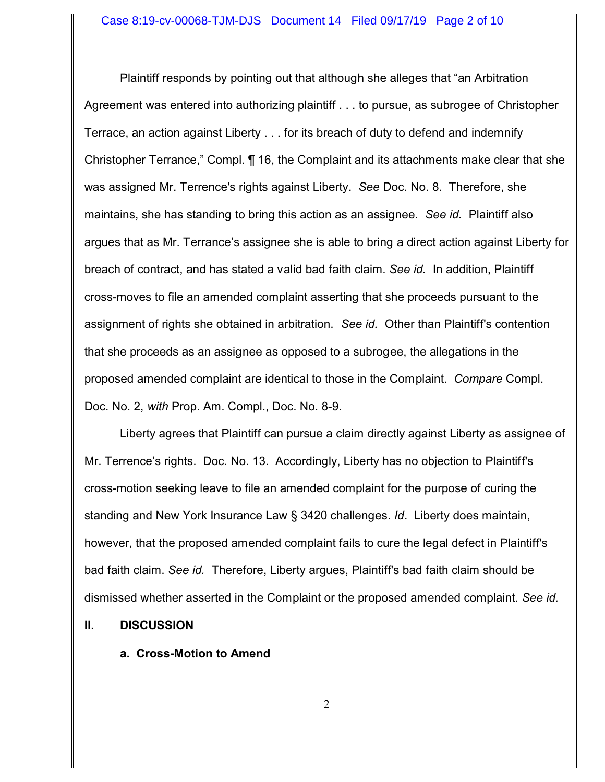Plaintiff responds by pointing out that although she alleges that "an Arbitration Agreement was entered into authorizing plaintiff . . . to pursue, as subrogee of Christopher Terrace, an action against Liberty . . . for its breach of duty to defend and indemnify Christopher Terrance," Compl. ¶ 16, the Complaint and its attachments make clear that she was assigned Mr. Terrence's rights against Liberty. *See* Doc. No. 8. Therefore, she maintains, she has standing to bring this action as an assignee. *See id.* Plaintiff also argues that as Mr. Terrance's assignee she is able to bring a direct action against Liberty for breach of contract, and has stated a valid bad faith claim. *See id.* In addition, Plaintiff cross-moves to file an amended complaint asserting that she proceeds pursuant to the assignment of rights she obtained in arbitration. *See id.* Other than Plaintiff's contention that she proceeds as an assignee as opposed to a subrogee, the allegations in the proposed amended complaint are identical to those in the Complaint. *Compare* Compl. Doc. No. 2, *with* Prop. Am. Compl., Doc. No. 8-9.

Liberty agrees that Plaintiff can pursue a claim directly against Liberty as assignee of Mr. Terrence's rights. Doc. No. 13. Accordingly, Liberty has no objection to Plaintiff's cross-motion seeking leave to file an amended complaint for the purpose of curing the standing and New York Insurance Law § 3420 challenges. *Id*. Liberty does maintain, however, that the proposed amended complaint fails to cure the legal defect in Plaintiff's bad faith claim. *See id.* Therefore, Liberty argues, Plaintiff's bad faith claim should be dismissed whether asserted in the Complaint or the proposed amended complaint. *See id.* 

#### **II. DISCUSSION**

**a. Cross-Motion to Amend**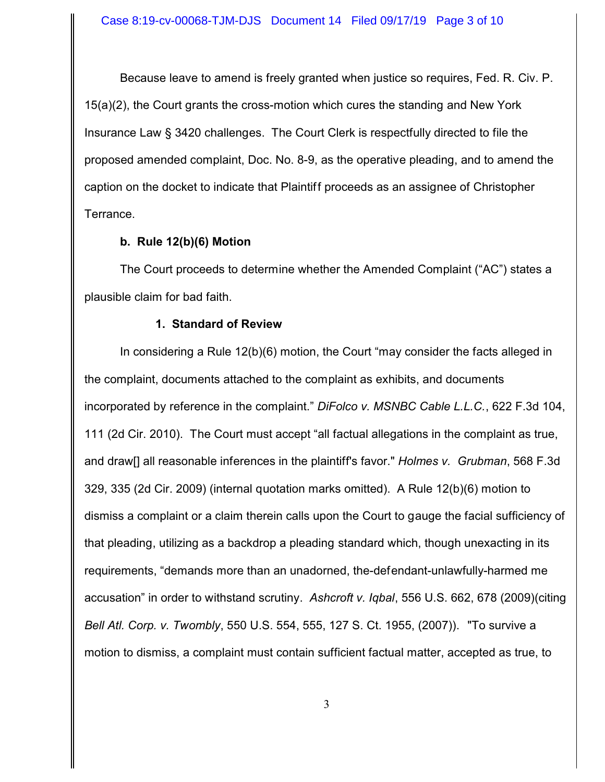Because leave to amend is freely granted when justice so requires, Fed. R. Civ. P. 15(a)(2), the Court grants the cross-motion which cures the standing and New York Insurance Law § 3420 challenges. The Court Clerk is respectfully directed to file the proposed amended complaint, Doc. No. 8-9, as the operative pleading, and to amend the caption on the docket to indicate that Plaintiff proceeds as an assignee of Christopher Terrance.

## **b. Rule 12(b)(6) Motion**

The Court proceeds to determine whether the Amended Complaint ("AC") states a plausible claim for bad faith.

### **1. Standard of Review**

In considering a Rule 12(b)(6) motion, the Court "may consider the facts alleged in the complaint, documents attached to the complaint as exhibits, and documents incorporated by reference in the complaint." *DiFolco v. MSNBC Cable L.L.C.*, 622 F.3d 104, 111 (2d Cir. 2010). The Court must accept "all factual allegations in the complaint as true, and draw[] all reasonable inferences in the plaintiff's favor." *Holmes v. Grubman*, 568 F.3d 329, 335 (2d Cir. 2009) (internal quotation marks omitted). A Rule 12(b)(6) motion to dismiss a complaint or a claim therein calls upon the Court to gauge the facial sufficiency of that pleading, utilizing as a backdrop a pleading standard which, though unexacting in its requirements, "demands more than an unadorned, the-defendant-unlawfully-harmed me accusation" in order to withstand scrutiny. *Ashcroft v. Iqbal*, 556 U.S. 662, 678 (2009)(citing *Bell Atl. Corp. v. Twombly*, 550 U.S. 554, 555, 127 S. Ct. 1955, (2007)). "To survive a motion to dismiss, a complaint must contain sufficient factual matter, accepted as true, to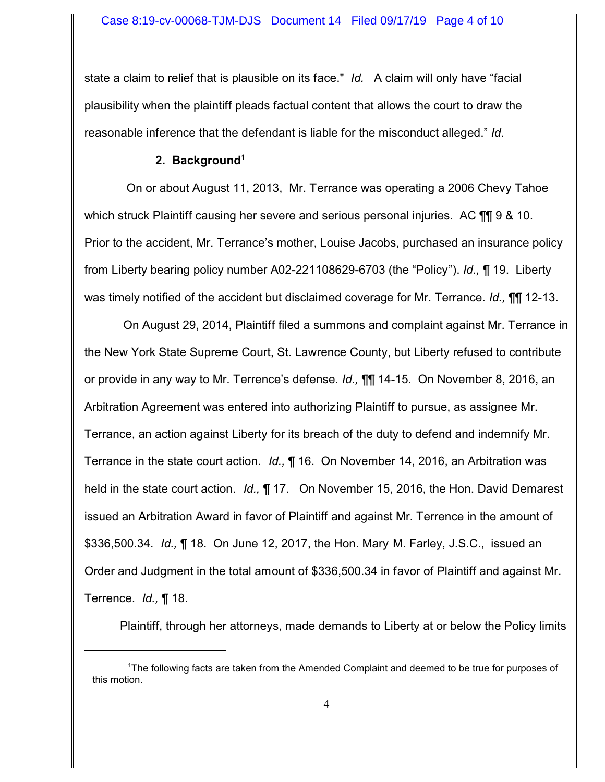state a claim to relief that is plausible on its face." *Id.* A claim will only have "facial plausibility when the plaintiff pleads factual content that allows the court to draw the reasonable inference that the defendant is liable for the misconduct alleged." *Id*.

## **2. Background<sup>1</sup>**

 On or about August 11, 2013, Mr. Terrance was operating a 2006 Chevy Tahoe which struck Plaintiff causing her severe and serious personal injuries. AC TI 9 & 10. Prior to the accident, Mr. Terrance's mother, Louise Jacobs, purchased an insurance policy from Liberty bearing policy number A02-221108629-6703 (the "Policy"). *Id.,* ¶ 19. Liberty was timely notified of the accident but disclaimed coverage for Mr. Terrance. *Id.,* ¶¶ 12-13.

 On August 29, 2014, Plaintiff filed a summons and complaint against Mr. Terrance in the New York State Supreme Court, St. Lawrence County, but Liberty refused to contribute or provide in any way to Mr. Terrence's defense. *Id.,* ¶¶ 14-15. On November 8, 2016, an Arbitration Agreement was entered into authorizing Plaintiff to pursue, as assignee Mr. Terrance, an action against Liberty for its breach of the duty to defend and indemnify Mr. Terrance in the state court action. *Id.,* ¶ 16. On November 14, 2016, an Arbitration was held in the state court action. *Id.,* ¶ 17. On November 15, 2016, the Hon. David Demarest issued an Arbitration Award in favor of Plaintiff and against Mr. Terrence in the amount of \$336,500.34. *Id.,* ¶ 18. On June 12, 2017, the Hon. Mary M. Farley, J.S.C., issued an Order and Judgment in the total amount of \$336,500.34 in favor of Plaintiff and against Mr. Terrence. *Id.,* ¶ 18.

Plaintiff, through her attorneys, made demands to Liberty at or below the Policy limits

<sup>&</sup>lt;sup>1</sup>The following facts are taken from the Amended Complaint and deemed to be true for purposes of this motion.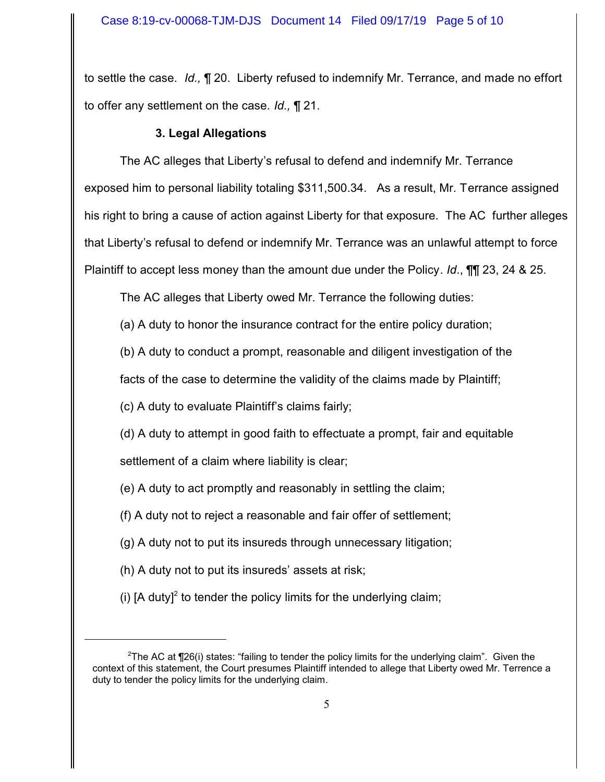to settle the case. *Id.,* ¶ 20. Liberty refused to indemnify Mr. Terrance, and made no effort to offer any settlement on the case. *Id.,* ¶ 21.

## **3. Legal Allegations**

The AC alleges that Liberty's refusal to defend and indemnify Mr. Terrance exposed him to personal liability totaling \$311,500.34. As a result, Mr. Terrance assigned his right to bring a cause of action against Liberty for that exposure. The AC further alleges that Liberty's refusal to defend or indemnify Mr. Terrance was an unlawful attempt to force Plaintiff to accept less money than the amount due under the Policy. *Id*., ¶¶ 23, 24 & 25.

The AC alleges that Liberty owed Mr. Terrance the following duties:

(a) A duty to honor the insurance contract for the entire policy duration;

(b) A duty to conduct a prompt, reasonable and diligent investigation of the

facts of the case to determine the validity of the claims made by Plaintiff;

(c) A duty to evaluate Plaintiff's claims fairly;

(d) A duty to attempt in good faith to effectuate a prompt, fair and equitable settlement of a claim where liability is clear;

(e) A duty to act promptly and reasonably in settling the claim;

(f) A duty not to reject a reasonable and fair offer of settlement;

(g) A duty not to put its insureds through unnecessary litigation;

(h) A duty not to put its insureds' assets at risk;

(i)  $[A$  duty]<sup>2</sup> to tender the policy limits for the underlying claim;

<sup>&</sup>lt;sup>2</sup>The AC at  $\P$ 26(i) states: "failing to tender the policy limits for the underlying claim". Given the context of this statement, the Court presumes Plaintiff intended to allege that Liberty owed Mr. Terrence a duty to tender the policy limits for the underlying claim.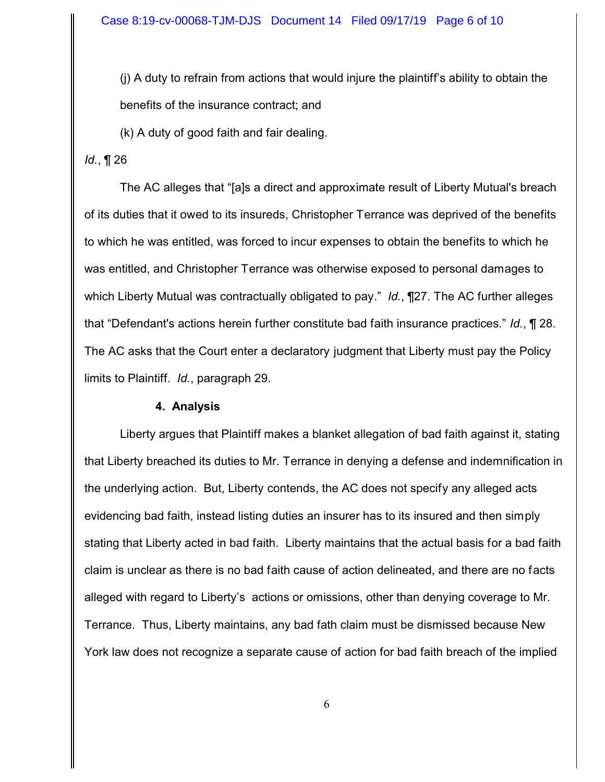(j) A duty to refrain from actions that would injure the plaintiff's ability to obtain the benefits of the insurance contract; and

(k) A duty of good faith and fair dealing.

### *Id.*, ¶ 26

The AC alleges that "[a]s a direct and approximate result of Liberty Mutual's breach of its duties that it owed to its insureds, Christopher Terrance was deprived of the benefits to which he was entitled, was forced to incur expenses to obtain the benefits to which he was entitled, and Christopher Terrance was otherwise exposed to personal damages to which Liberty Mutual was contractually obligated to pay." *Id.*, ¶27. The AC further alleges that "Defendant's actions herein further constitute bad faith insurance practices." *Id.*, ¶ 28. The AC asks that the Court enter a declaratory judgment that Liberty must pay the Policy limits to Plaintiff. *Id.*, paragraph 29.

#### **4. Analysis**

Liberty argues that Plaintiff makes a blanket allegation of bad faith against it, stating that Liberty breached its duties to Mr. Terrance in denying a defense and indemnification in the underlying action. But, Liberty contends, the AC does not specify any alleged acts evidencing bad faith, instead listing duties an insurer has to its insured and then simply stating that Liberty acted in bad faith. Liberty maintains that the actual basis for a bad faith claim is unclear as there is no bad faith cause of action delineated, and there are no facts alleged with regard to Liberty's actions or omissions, other than denying coverage to Mr. Terrance. Thus, Liberty maintains, any bad fath claim must be dismissed because New York law does not recognize a separate cause of action for bad faith breach of the implied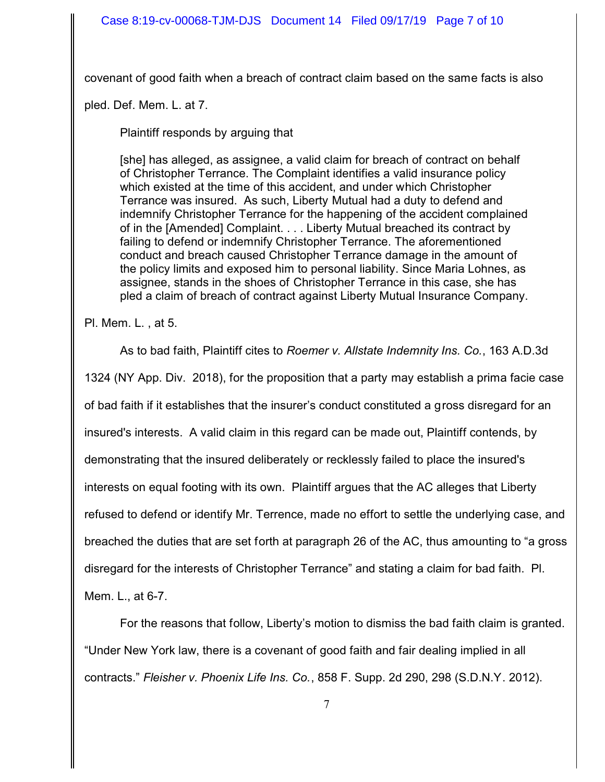covenant of good faith when a breach of contract claim based on the same facts is also

pled. Def. Mem. L. at 7.

Plaintiff responds by arguing that

[she] has alleged, as assignee, a valid claim for breach of contract on behalf of Christopher Terrance. The Complaint identifies a valid insurance policy which existed at the time of this accident, and under which Christopher Terrance was insured. As such, Liberty Mutual had a duty to defend and indemnify Christopher Terrance for the happening of the accident complained of in the [Amended] Complaint. . . . Liberty Mutual breached its contract by failing to defend or indemnify Christopher Terrance. The aforementioned conduct and breach caused Christopher Terrance damage in the amount of the policy limits and exposed him to personal liability. Since Maria Lohnes, as assignee, stands in the shoes of Christopher Terrance in this case, she has pled a claim of breach of contract against Liberty Mutual Insurance Company.

Pl. Mem. L. , at 5.

As to bad faith, Plaintiff cites to *Roemer v. Allstate Indemnity Ins. Co.*, 163 A.D.3d

1324 (NY App. Div. 2018), for the proposition that a party may establish a prima facie case of bad faith if it establishes that the insurer's conduct constituted a gross disregard for an insured's interests. A valid claim in this regard can be made out, Plaintiff contends, by demonstrating that the insured deliberately or recklessly failed to place the insured's interests on equal footing with its own. Plaintiff argues that the AC alleges that Liberty refused to defend or identify Mr. Terrence, made no effort to settle the underlying case, and breached the duties that are set forth at paragraph 26 of the AC, thus amounting to "a gross disregard for the interests of Christopher Terrance" and stating a claim for bad faith. Pl. Mem. L., at 6-7.

For the reasons that follow, Liberty's motion to dismiss the bad faith claim is granted. "Under New York law, there is a covenant of good faith and fair dealing implied in all contracts." *Fleisher v. Phoenix Life Ins. Co.*, 858 F. Supp. 2d 290, 298 (S.D.N.Y. 2012).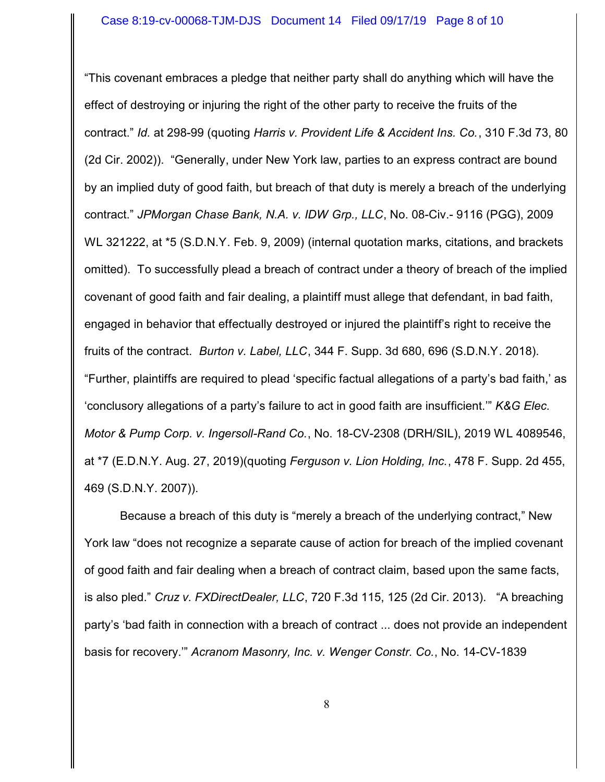"This covenant embraces a pledge that neither party shall do anything which will have the effect of destroying or injuring the right of the other party to receive the fruits of the contract." *Id.* at 298-99 (quoting *Harris v. Provident Life & Accident Ins. Co.*, 310 F.3d 73, 80 (2d Cir. 2002)). "Generally, under New York law, parties to an express contract are bound by an implied duty of good faith, but breach of that duty is merely a breach of the underlying contract." *JPMorgan Chase Bank, N.A. v. IDW Grp., LLC*, No. 08-Civ.- 9116 (PGG), 2009 WL 321222, at \*5 (S.D.N.Y. Feb. 9, 2009) (internal quotation marks, citations, and brackets omitted). To successfully plead a breach of contract under a theory of breach of the implied covenant of good faith and fair dealing, a plaintiff must allege that defendant, in bad faith, engaged in behavior that effectually destroyed or injured the plaintiff's right to receive the fruits of the contract. *Burton v. Label, LLC*, 344 F. Supp. 3d 680, 696 (S.D.N.Y. 2018). "Further, plaintiffs are required to plead 'specific factual allegations of a party's bad faith,' as 'conclusory allegations of a party's failure to act in good faith are insufficient.'" *K&G Elec. Motor & Pump Corp. v. Ingersoll-Rand Co.*, No. 18-CV-2308 (DRH/SIL), 2019 WL 4089546, at \*7 (E.D.N.Y. Aug. 27, 2019)(quoting *Ferguson v. Lion Holding, Inc.*, 478 F. Supp. 2d 455, 469 (S.D.N.Y. 2007)).

Because a breach of this duty is "merely a breach of the underlying contract," New York law "does not recognize a separate cause of action for breach of the implied covenant of good faith and fair dealing when a breach of contract claim, based upon the same facts, is also pled." *Cruz v. FXDirectDealer, LLC*, 720 F.3d 115, 125 (2d Cir. 2013). "A breaching party's 'bad faith in connection with a breach of contract ... does not provide an independent basis for recovery.'" *Acranom Masonry, Inc. v. Wenger Constr. Co.*, No. 14-CV-1839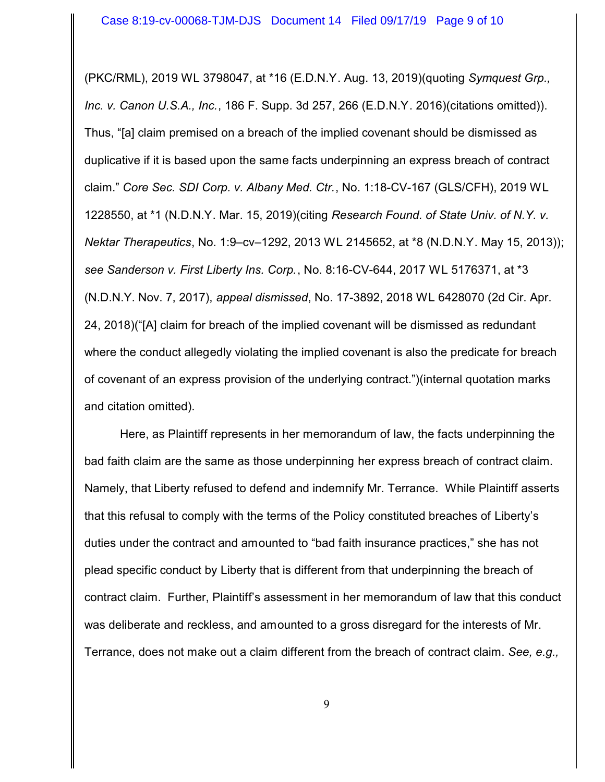(PKC/RML), 2019 WL 3798047, at \*16 (E.D.N.Y. Aug. 13, 2019)(quoting *Symquest Grp., Inc. v. Canon U.S.A., Inc.*, 186 F. Supp. 3d 257, 266 (E.D.N.Y. 2016)(citations omitted)). Thus, "[a] claim premised on a breach of the implied covenant should be dismissed as duplicative if it is based upon the same facts underpinning an express breach of contract claim." *Core Sec. SDI Corp. v. Albany Med. Ctr.*, No. 1:18-CV-167 (GLS/CFH), 2019 WL 1228550, at \*1 (N.D.N.Y. Mar. 15, 2019)(citing *Research Found. of State Univ. of N.Y. v. Nektar Therapeutics*, No. 1:9–cv–1292, 2013 WL 2145652, at \*8 (N.D.N.Y. May 15, 2013)); *see Sanderson v. First Liberty Ins. Corp.*, No. 8:16-CV-644, 2017 WL 5176371, at \*3 (N.D.N.Y. Nov. 7, 2017), *appeal dismissed*, No. 17-3892, 2018 WL 6428070 (2d Cir. Apr. 24, 2018)("[A] claim for breach of the implied covenant will be dismissed as redundant where the conduct allegedly violating the implied covenant is also the predicate for breach of covenant of an express provision of the underlying contract.")(internal quotation marks and citation omitted).

Here, as Plaintiff represents in her memorandum of law, the facts underpinning the bad faith claim are the same as those underpinning her express breach of contract claim. Namely, that Liberty refused to defend and indemnify Mr. Terrance. While Plaintiff asserts that this refusal to comply with the terms of the Policy constituted breaches of Liberty's duties under the contract and amounted to "bad faith insurance practices," she has not plead specific conduct by Liberty that is different from that underpinning the breach of contract claim. Further, Plaintiff's assessment in her memorandum of law that this conduct was deliberate and reckless, and amounted to a gross disregard for the interests of Mr. Terrance, does not make out a claim different from the breach of contract claim. *See, e.g.,*